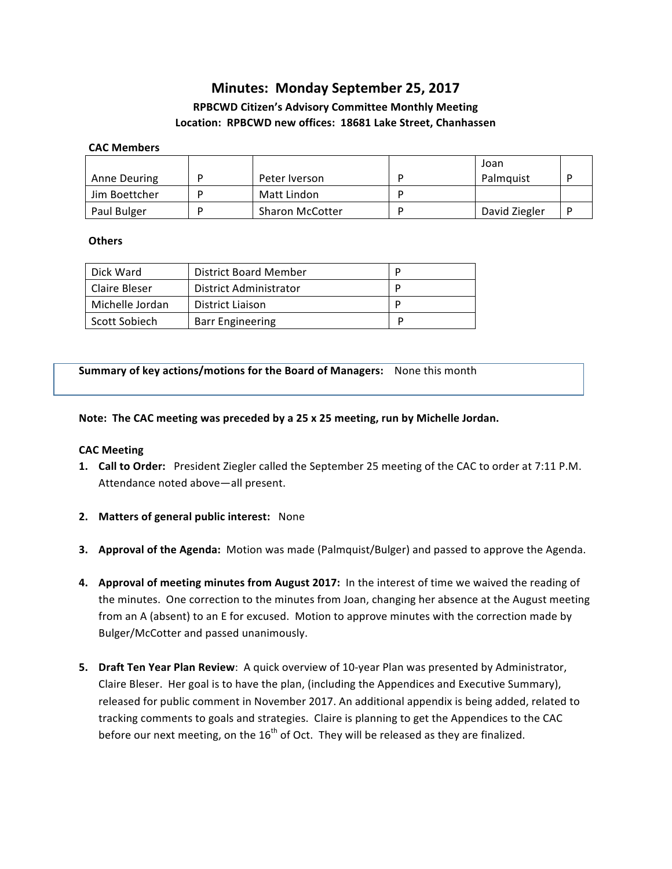# **Minutes: Monday September 25, 2017**

# **RPBCWD Citizen's Advisory Committee Monthly Meeting** Location: RPBCWD new offices: 18681 Lake Street, Chanhassen

#### **CAC Members**

| Anne Deuring  | Peter Iverson          | Joan<br>Palmquist |  |
|---------------|------------------------|-------------------|--|
| Jim Boettcher | Matt Lindon            |                   |  |
| Paul Bulger   | <b>Sharon McCotter</b> | David Ziegler     |  |

#### **Others**

| Dick Ward       | District Board Member   | D |
|-----------------|-------------------------|---|
| Claire Bleser   | District Administrator  | D |
| Michelle Jordan | District Liaison        | D |
| Scott Sobiech   | <b>Barr Engineering</b> |   |

**Summary of key actions/motions for the Board of Managers:** None this month

# Note: The CAC meeting was preceded by a 25 x 25 meeting, run by Michelle Jordan.

# **CAC Meeting**

- **1. Call to Order:** President Ziegler called the September 25 meeting of the CAC to order at 7:11 P.M. Attendance noted above-all present.
- **2.** Matters of general public interest: None
- **3.** Approval of the Agenda: Motion was made (Palmquist/Bulger) and passed to approve the Agenda.
- 4. Approval of meeting minutes from August 2017: In the interest of time we waived the reading of the minutes. One correction to the minutes from Joan, changing her absence at the August meeting from an A (absent) to an E for excused. Motion to approve minutes with the correction made by Bulger/McCotter and passed unanimously.
- **5.** Draft Ten Year Plan Review: A quick overview of 10-year Plan was presented by Administrator, Claire Bleser. Her goal is to have the plan, (including the Appendices and Executive Summary), released for public comment in November 2017. An additional appendix is being added, related to tracking comments to goals and strategies. Claire is planning to get the Appendices to the CAC before our next meeting, on the  $16<sup>th</sup>$  of Oct. They will be released as they are finalized.